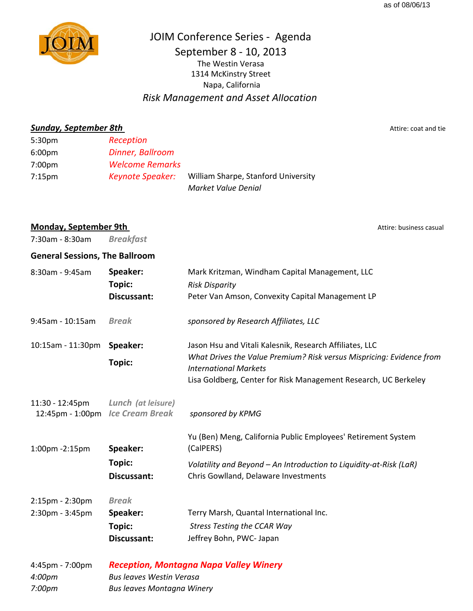

JOIM Conference Series ‐ Agenda September 8 ‐ 10, 2013 Napa, California 1314 McKinstry Street The Westin Verasa

*Risk Management and Asset Allocation*

**Sunday, September 8th** Attire: coat and tie

5:30pm *Reception* 6:00pm *Dinner, Ballroom* 7:00pm *Welcome Remarks* 7:15pm *Keynote Speaker:* William Sharpe, Stanford University *Market Value Denial*

**Monday, September 9th** Attire: business casual

| 7:30am - 8:30am                       | <b>Breakfast</b>                                         |                                                                                                                                                                                                                                    |
|---------------------------------------|----------------------------------------------------------|------------------------------------------------------------------------------------------------------------------------------------------------------------------------------------------------------------------------------------|
| <b>General Sessions, The Ballroom</b> |                                                          |                                                                                                                                                                                                                                    |
| 8:30am - 9:45am                       | Speaker:<br>Topic:<br>Discussant:                        | Mark Kritzman, Windham Capital Management, LLC<br><b>Risk Disparity</b><br>Peter Van Amson, Convexity Capital Management LP                                                                                                        |
| 9:45am - 10:15am                      | <b>Break</b>                                             | sponsored by Research Affiliates, LLC                                                                                                                                                                                              |
| 10:15am - 11:30pm                     | Speaker:<br><b>Topic:</b>                                | Jason Hsu and Vitali Kalesnik, Research Affiliates, LLC<br>What Drives the Value Premium? Risk versus Mispricing: Evidence from<br><b>International Markets</b><br>Lisa Goldberg, Center for Risk Management Research, UC Berkeley |
| 11:30 - 12:45pm<br>12:45pm - 1:00pm   | Lunch (at leisure)<br><b>Ice Cream Break</b>             | sponsored by KPMG                                                                                                                                                                                                                  |
| 1:00pm -2:15pm                        | Speaker:<br><b>Topic:</b><br>Discussant:                 | Yu (Ben) Meng, California Public Employees' Retirement System<br>(CalPERS)<br>Volatility and Beyond - An Introduction to Liquidity-at-Risk (LaR)<br>Chris Gowlland, Delaware Investments                                           |
| 2:15pm - 2:30pm<br>2:30pm - 3:45pm    | <b>Break</b><br>Speaker:<br><b>Topic:</b><br>Discussant: | Terry Marsh, Quantal International Inc.<br><b>Stress Testing the CCAR Way</b><br>Jeffrey Bohn, PWC- Japan                                                                                                                          |
| 4:45pm - 7:00pm                       | <b>Reception, Montagna Napa Valley Winery</b>            |                                                                                                                                                                                                                                    |

*4:00pm Bus leaves Westin Verasa 7:00pm Bus leaves Montagna Winery Reception, Montagna Napa Valley Winery*